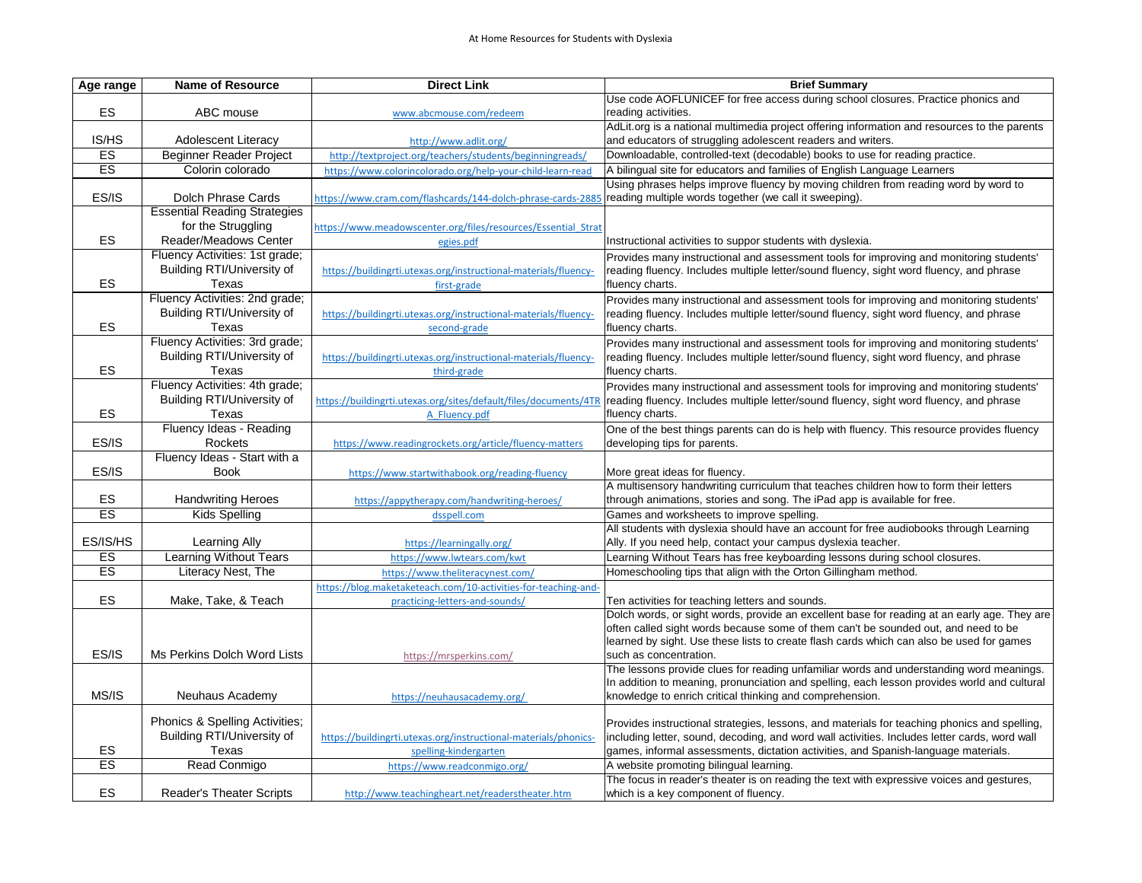| Age range | <b>Name of Resource</b>                   | <b>Direct Link</b>                                               | <b>Brief Summary</b>                                                                                                                                    |
|-----------|-------------------------------------------|------------------------------------------------------------------|---------------------------------------------------------------------------------------------------------------------------------------------------------|
|           |                                           |                                                                  | Use code AOFLUNICEF for free access during school closures. Practice phonics and                                                                        |
| ES        | ABC mouse                                 | www.abcmouse.com/redeem                                          | reading activities.                                                                                                                                     |
|           |                                           |                                                                  | AdLit.org is a national multimedia project offering information and resources to the parents                                                            |
| IS/HS     | <b>Adolescent Literacy</b>                | http://www.adlit.org/                                            | and educators of struggling adolescent readers and writers.                                                                                             |
| ES        | <b>Beginner Reader Project</b>            | http://textproject.org/teachers/students/beginningreads/         | Downloadable, controlled-text (decodable) books to use for reading practice.                                                                            |
| ES        | Colorin colorado                          | https://www.colorincolorado.org/help-your-child-learn-read       | A bilingual site for educators and families of English Language Learners                                                                                |
| ES/IS     | <b>Dolch Phrase Cards</b>                 |                                                                  | Using phrases helps improve fluency by moving children from reading word by word to<br>reading multiple words together (we call it sweeping).           |
|           | <b>Essential Reading Strategies</b>       | https://www.cram.com/flashcards/144-dolch-phrase-cards-2885      |                                                                                                                                                         |
|           | for the Struggling                        | https://www.meadowscenter.org/files/resources/Essential Strat    |                                                                                                                                                         |
| ES        | <b>Reader/Meadows Center</b>              | egies.pdf                                                        | Instructional activities to suppor students with dyslexia.                                                                                              |
|           | Fluency Activities: 1st grade;            |                                                                  | Provides many instructional and assessment tools for improving and monitoring students'                                                                 |
|           | <b>Building RTI/University of</b>         | https://buildingrti.utexas.org/instructional-materials/fluency-  | reading fluency. Includes multiple letter/sound fluency, sight word fluency, and phrase                                                                 |
| ES        | Texas                                     | first-grade                                                      | fluency charts.                                                                                                                                         |
|           | Fluency Activities: 2nd grade;            |                                                                  | Provides many instructional and assessment tools for improving and monitoring students'                                                                 |
|           | <b>Building RTI/University of</b>         | https://buildingrti.utexas.org/instructional-materials/fluency-  | reading fluency. Includes multiple letter/sound fluency, sight word fluency, and phrase                                                                 |
| ES        | Texas                                     | second-grade                                                     | fluency charts.                                                                                                                                         |
|           | Fluency Activities: 3rd grade;            |                                                                  | Provides many instructional and assessment tools for improving and monitoring students'                                                                 |
|           | <b>Building RTI/University of</b>         | https://buildingrti.utexas.org/instructional-materials/fluency-  | reading fluency. Includes multiple letter/sound fluency, sight word fluency, and phrase                                                                 |
| ES        | Texas                                     | third-grade                                                      | fluency charts.                                                                                                                                         |
|           | Fluency Activities: 4th grade;            |                                                                  | Provides many instructional and assessment tools for improving and monitoring students'                                                                 |
|           | <b>Building RTI/University of</b>         | https://buildingrti.utexas.org/sites/default/files/documents/4TF | reading fluency. Includes multiple letter/sound fluency, sight word fluency, and phrase                                                                 |
| ES        | Texas                                     | A Fluency.pdf                                                    | fluency charts.                                                                                                                                         |
|           | Fluency Ideas - Reading                   |                                                                  | One of the best things parents can do is help with fluency. This resource provides fluency                                                              |
| ES/IS     | <b>Rockets</b>                            | https://www.readingrockets.org/article/fluency-matters           | developing tips for parents.                                                                                                                            |
|           | Fluency Ideas - Start with a              |                                                                  |                                                                                                                                                         |
| ES/IS     | <b>Book</b>                               | https://www.startwithabook.org/reading-fluency                   | More great ideas for fluency.<br>A multisensory handwriting curriculum that teaches children how to form their letters                                  |
| ES        | <b>Handwriting Heroes</b>                 | https://appytherapy.com/handwriting-heroes/                      | through animations, stories and song. The iPad app is available for free.                                                                               |
| ES        | <b>Kids Spelling</b>                      | dsspell.com                                                      | Games and worksheets to improve spelling.                                                                                                               |
|           |                                           |                                                                  | All students with dyslexia should have an account for free audiobooks through Learning                                                                  |
| ES/IS/HS  | Learning Ally                             | https://learningally.org/                                        | Ally. If you need help, contact your campus dyslexia teacher.                                                                                           |
| ES        | <b>Learning Without Tears</b>             | https://www.lwtears.com/kwt                                      | Learning Without Tears has free keyboarding lessons during school closures.                                                                             |
| ES        | Literacy Nest, The                        | https://www.theliteracynest.com/                                 | Homeschooling tips that align with the Orton Gillingham method.                                                                                         |
|           |                                           | https://blog.maketaketeach.com/10-activities-for-teaching-and-   |                                                                                                                                                         |
| ES        | Make, Take, & Teach                       | practicing-letters-and-sounds/                                   | Ten activities for teaching letters and sounds.                                                                                                         |
|           |                                           |                                                                  | Dolch words, or sight words, provide an excellent base for reading at an early age. They are                                                            |
|           |                                           |                                                                  | often called sight words because some of them can't be sounded out, and need to be                                                                      |
|           |                                           |                                                                  | learned by sight. Use these lists to create flash cards which can also be used for games                                                                |
| ES/IS     | Ms Perkins Dolch Word Lists               | https://mrsperkins.com/                                          | such as concentration.                                                                                                                                  |
|           |                                           |                                                                  | The lessons provide clues for reading unfamiliar words and understanding word meanings.                                                                 |
| MS/IS     | <b>Neuhaus Academy</b>                    | https://neuhausacademy.org/                                      | In addition to meaning, pronunciation and spelling, each lesson provides world and cultural<br>knowledge to enrich critical thinking and comprehension. |
|           |                                           |                                                                  |                                                                                                                                                         |
|           | <b>Phonics &amp; Spelling Activities;</b> |                                                                  | Provides instructional strategies, lessons, and materials for teaching phonics and spelling,                                                            |
|           | <b>Building RTI/University of</b>         | https://buildingrti.utexas.org/instructional-materials/phonics-  | including letter, sound, decoding, and word wall activities. Includes letter cards, word wall                                                           |
| ES        | Texas                                     | spelling-kindergarten                                            | games, informal assessments, dictation activities, and Spanish-language materials.                                                                      |
| ES        | Read Conmigo                              | https://www.readconmigo.org/                                     | A website promoting bilingual learning.                                                                                                                 |
|           |                                           |                                                                  | The focus in reader's theater is on reading the text with expressive voices and gestures,                                                               |
| ES        | <b>Reader's Theater Scripts</b>           | http://www.teachingheart.net/readerstheater.htm                  | which is a key component of fluency.                                                                                                                    |